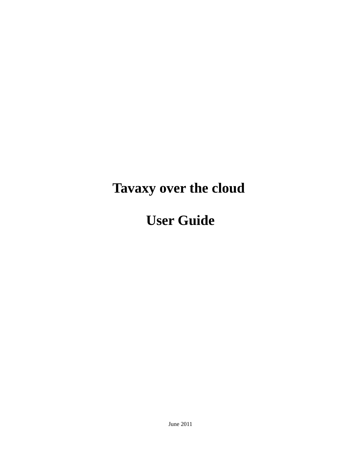# **Tavaxy over the cloud**

## **User Guide**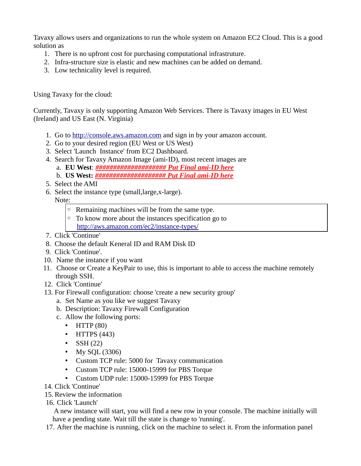Tavaxy allows users and organizations to run the whole system on Amazon EC2 Cloud. This is a good solution as

- 1. There is no upfront cost for purchasing computational infrastruture.
- 2. Infra-structure size is elastic and new machines can be added on demand.
- 3. Low technicality level is required.

Using Tavaxy for the cloud:

Currently, Tavaxy is only supporting Amazon Web Services. There is Tavaxy images in EU West (Ireland) and US East (N. Virginia)

- 1. Go to [http://console.aws.amazon.com](http://console.aws.amazon.com/) and sign in by your amazon account.
- 2. Go to your desired region (EU West or US West)
- 3. Select 'Launch Instance' from EC2 Dashboard.
- 4. Search for Tavaxy Amazon Image (ami-ID), most recent images are
	- a. **EU West**: *#################### Put Final ami-ID here*
	- b. **US West:** *#################### Put Final ami-ID here*
- 5. Select the AMI
- 6. Select the instance type (small,large,x-large).

### Note:

- Remaining machines will be from the same type.
- To know more about the instances specification go to <http://aws.amazon.com/ec2/instance-types/>
- 7. Click 'Continue'
- 8. Choose the default Keneral ID and RAM Disk ID
- 9. Click 'Continue'.
- 10. Name the instance if you want
- 11. Choose or Create a KeyPair to use, this is important to able to access the machine remotely through SSH.
- 12. Click 'Continue'
- 13. For Firewall configuration: choose 'create a new security group'
	- a. Set Name as you like we suggest Tavaxy
	- b. Description: Tavaxy Firewall Configuration
	- c. Allow the following ports:
		- $\cdot$  HTTP (80)
		- HTTPS (443)
		- SSH $(22)$
		- My SQL (3306)
		- Custom TCP rule: 5000 for Tavaxy communication
		- Custom TCP rule: 15000-15999 for PBS Torque
		- Custom UDP rule: 15000-15999 for PBS Torque
- 14. Click 'Continue'
- 15. Review the information
- 16. Click 'Launch'

 A new instance will start, you will find a new row in your console. The machine initially will have a pending state. Wait till the state is change to 'running'.

17. After the machine is running, click on the machine to select it. From the information panel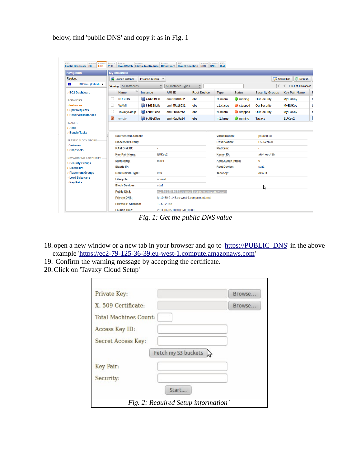below, find 'public DNS' and copy it as in Fig. 1

| <b>Navigation</b>                                      |                                       | <b>My Instances</b>                                                    |                           |                                          |                      |                                       |                   |                        |                       |  |
|--------------------------------------------------------|---------------------------------------|------------------------------------------------------------------------|---------------------------|------------------------------------------|----------------------|---------------------------------------|-------------------|------------------------|-----------------------|--|
| <b>Region:</b>                                         | Launch Instance<br>Instance Actions – |                                                                        |                           |                                          |                      |                                       |                   | Refresh<br>Show/Hide   |                       |  |
| $\circ$<br>EU West (Ireland) $\blacktriangledown$      | Viewing: All Instances                |                                                                        |                           | $\hat{\mathbb{I}}$<br>All Instance Types |                      |                                       |                   | 16                     | 1 to 4 of 4 Instances |  |
| > EC2 Dashboard                                        |                                       | Y6<br><b>Name</b>                                                      | <b>Instance</b>           | <b>AMI ID</b>                            | <b>Root Device</b>   | <b>Type</b>                           | <b>Status</b>     | <b>Security Groups</b> | <b>Key Pair Name</b>  |  |
| <b>INSTANCES</b>                                       | u                                     | <b>NUBIOS</b>                                                          | i-4d20f93b                | ami-f6340182                             | ebs                  | t1.micro                              | $\bullet$ running | <b>OurSecurity</b>     | <b>MyEUKey</b>        |  |
| <b>&gt; Instances</b>                                  | c                                     | <b>WAMI</b>                                                            | i-8d328dfb                | ami-45b18631                             | ebs                  | c1.xlarge                             | $\bullet$ stopped | <b>OurSecurity</b>     | <b>MyEUKey</b>        |  |
| > Spot Requests                                        | L                                     | TavaxySetup                                                            | i-b8bf2ece                | ami-2b1d2b5f                             | ebs                  | t1.micro                              | stopped           | <b>OurSecurity</b>     | <b>MyEUKey</b>        |  |
| > Reserved Instances                                   | $\blacktriangleright$                 | empty                                                                  | i-d89ef3ae                | ami-f0ac9a84                             | ebs                  | m1.large                              | $\Box$ running    | Tavaxy                 | EUKey2                |  |
| <b>IMAGES</b>                                          |                                       |                                                                        |                           |                                          |                      |                                       |                   |                        |                       |  |
| > AMIs                                                 |                                       |                                                                        |                           |                                          | $\tau$ $\tau$ $\tau$ |                                       |                   |                        |                       |  |
| <b>&gt; Bundle Tasks</b>                               |                                       | <b>Source/Dest. Check:</b>                                             |                           |                                          |                      | <b>Virtualization:</b><br>paravirtual |                   |                        |                       |  |
| <b>FLASTIC BLOCK STORE</b>                             |                                       | <b>Placement Group:</b>                                                |                           |                                          |                      | r-5662cb20<br><b>Reservation:</b>     |                   |                        |                       |  |
| <b>&gt; Volumes</b><br>> Snapshots                     |                                       | <b>RAM Disk ID:</b>                                                    |                           |                                          |                      | <b>Platform:</b>                      |                   |                        |                       |  |
|                                                        |                                       | <b>Key Pair Name:</b>                                                  |                           | EUKey2                                   |                      | <b>Kernel ID:</b>                     |                   | aki-4feec43b           |                       |  |
| <b>NETWORKING &amp; SECURITY -</b>                     |                                       | <b>Monitoring:</b>                                                     | basic                     |                                          |                      | <b>AMI Launch Index:</b>              |                   | $\bf{0}$               |                       |  |
| <b>&gt; Security Groups</b><br><b>&gt; Elastic IPs</b> |                                       | <b>Elastic IP:</b>                                                     |                           |                                          | <b>Root Device:</b>  |                                       |                   | sda1                   |                       |  |
| > Placement Groups                                     |                                       | <b>Root Device Type:</b>                                               |                           | ebs                                      |                      | <b>Tenancy:</b>                       |                   | default                |                       |  |
| > Load Balancers                                       |                                       | Lifecycle:                                                             | normal                    |                                          |                      |                                       |                   |                        |                       |  |
| <b>&gt; Key Pairs</b>                                  |                                       | <b>Block Devices:</b>                                                  | sda1                      |                                          |                      |                                       |                   |                        |                       |  |
|                                                        |                                       | <b>Public DNS:</b><br>ec2-79-125-36-39.eu-west-1.compute.amazonaws.com |                           |                                          |                      |                                       | グ                 |                        |                       |  |
|                                                        |                                       | <b>Private DNS:</b><br>ip-10-59-2-145.eu-west-1.compute.internal       |                           |                                          |                      |                                       |                   |                        |                       |  |
|                                                        |                                       | <b>Private IP Address:</b>                                             |                           | 10.59.2.145                              |                      |                                       |                   |                        |                       |  |
|                                                        |                                       | Launch Time:                                                           | 2011-06-05 10:30 GMT+0200 |                                          |                      |                                       |                   |                        |                       |  |

*Fig. 1: Get the public DNS value*

- 18. open a new window or a new tab in your browser and go to '[https://PUBLIC\\_DNS'](https://PUBLIC_DNS/) in the above example 'https://ec2-79-125-36-39.eu-west-1.compute.amazonaws.com'
- 19. Confirm the warning message by accepting the certificate.
- 20.Click on 'Tavaxy Cloud Setup'

| Private Key:                       | Browse. |
|------------------------------------|---------|
| X. 509 Certificate:                | Browse. |
| <b>Total Machines Count:</b>       |         |
| Access Key ID:                     |         |
| Secret Access Key:                 |         |
| Fetch my S3 buckets $\lambda$      |         |
| Key Pair:                          |         |
| Security:                          |         |
| Start                              |         |
| Fig. 2: Required Setup information |         |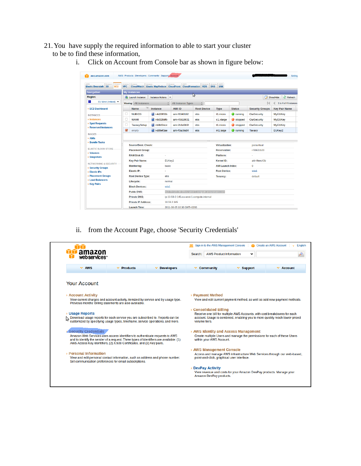- 21.You have supply the required information to able to start your cluster to be to find these information,
	- i. Click on Account from Console bar as shown in figure below:

| AWS<br>Amazon<br>Amazor<br><b>Elastic Beanstalk</b> S3<br>EC <sub>2</sub> | Amazor<br>Amazor<br><b>VPC</b>                 | Amazon                                    | CloudWatch Elastic MapReduce CloudFront CloudFormation RDS | Amazon<br>AWS                                    | Amazor             | AWS<br>Amazon<br><b>SNS</b><br><b>IAM</b> |                                         |                        |                       |  |
|---------------------------------------------------------------------------|------------------------------------------------|-------------------------------------------|------------------------------------------------------------|--------------------------------------------------|--------------------|-------------------------------------------|-----------------------------------------|------------------------|-----------------------|--|
| <b>Navigation</b>                                                         | <b>My Instances</b>                            |                                           |                                                            |                                                  | $\mathcal{V}$      |                                           |                                         |                        |                       |  |
| <b>Region:</b>                                                            | <b>Launch Instance</b>                         |                                           | <b>Instance Actions</b><br>$\overline{\phantom{a}}$        |                                                  |                    |                                           |                                         |                        | Show/Hide<br>Refresh  |  |
| $\circ$<br>EU West (Ireland) v                                            |                                                | Viewing: All Instances                    |                                                            | All Instance Types                               | ÷                  |                                           |                                         | 16                     | 1 to 4 of 4 Instances |  |
| <b>EC2 Dashboard</b>                                                      | <b>Name</b>                                    | Ŵ                                         | <b>Instance</b>                                            | <b>AMI ID</b>                                    | <b>Root Device</b> | <b>Type</b>                               | <b>Status</b>                           | <b>Security Groups</b> | <b>Key Pair Name</b>  |  |
| <b>INSTANCES</b>                                                          | Ω                                              | <b>NUBIOS</b>                             | i-4d20f93b                                                 | ami-f6340182                                     | ebs                | t1.micro                                  | $\bullet$ running                       | <b>OurSecurity</b>     | <b>MyEUKey</b>        |  |
| > Instances                                                               | o<br><b>WAMI</b>                               |                                           | i-8d328dfb                                                 | ami-45b18631                                     | ebs                | c1.xlarge                                 | stopped                                 | <b>OurSecurity</b>     | <b>MyEUKey</b>        |  |
| <b>Spot Requests</b>                                                      |                                                | TavaxySetup                               | i-b8bf2ece                                                 | ami-2b1d2b5f                                     | ebs                | t1.micro                                  | stopped                                 | OurSecurity            | <b>MyEUKey</b>        |  |
| <b>&gt; Reserved Instances</b>                                            | $\blacktriangledown$<br>empty                  |                                           | i-d89ef3ae                                                 | ami-f0ac9a84                                     | ebs                | m1.large                                  | $\blacksquare$ running                  | <b>Tavaxy</b>          | EUKey2                |  |
| <b>IMAGES</b>                                                             |                                                |                                           |                                                            |                                                  |                    |                                           |                                         |                        |                       |  |
| > AMIs                                                                    |                                                |                                           |                                                            |                                                  | $\frac{1}{2}$      |                                           |                                         |                        |                       |  |
| <b>Bundle Tasks</b>                                                       |                                                | Source/Dest, Check:                       |                                                            |                                                  |                    |                                           | <b>Virtualization:</b><br>paravirtual   |                        |                       |  |
| <b>ELASTIC BLOCK STORE</b>                                                | <b>Placement Group:</b><br><b>RAM Disk ID:</b> |                                           |                                                            |                                                  |                    |                                           | <b>Reservation:</b><br><b>Platform:</b> |                        | r-5662cb20            |  |
| <b>Volumes</b>                                                            |                                                |                                           |                                                            |                                                  |                    |                                           |                                         |                        |                       |  |
| > Snapshots                                                               |                                                | <b>Key Pair Name:</b>                     |                                                            | EUKey2                                           |                    |                                           |                                         | aki-4feec43b           |                       |  |
| <b>NETWORKING &amp; SECURITY -</b>                                        | <b>Monitoring:</b>                             |                                           |                                                            | <b>basic</b>                                     |                    |                                           | <b>AMI Launch Index:</b>                | $\Omega$               |                       |  |
| <b>Security Groups</b><br><b>Elastic IPs</b>                              | <b>Elastic IP:</b>                             |                                           | ÷.                                                         |                                                  |                    |                                           | <b>Root Device:</b>                     | sda1                   |                       |  |
| <b>Placement Groups</b>                                                   |                                                | <b>Root Device Type:</b>                  | ebs                                                        |                                                  |                    |                                           |                                         | default                |                       |  |
| <b>Load Balancers</b><br><b>&gt; Key Pairs</b>                            | Lifecycle:                                     |                                           |                                                            | normal                                           |                    |                                           |                                         |                        |                       |  |
|                                                                           |                                                | <b>Block Devices:</b>                     | sda1                                                       |                                                  |                    |                                           |                                         |                        |                       |  |
|                                                                           |                                                | <b>Public DNS:</b>                        |                                                            | ec2-79-125-36-39.eu-west-1.compute.amazonaws.com |                    |                                           |                                         |                        |                       |  |
|                                                                           | <b>Private DNS:</b>                            |                                           |                                                            | ip-10-59-2-145.eu-west-1.compute.internal        |                    |                                           |                                         |                        |                       |  |
|                                                                           |                                                | <b>Private IP Address:</b><br>10.59.2.145 |                                                            |                                                  |                    |                                           |                                         |                        |                       |  |
|                                                                           |                                                |                                           |                                                            |                                                  |                    |                                           |                                         |                        |                       |  |

ii. from the Account Page, choose 'Security Credentials'

|                                                                                                                                                                                           |                                                                                                                                                                                                                                                 |              | Sign in to the AWS Management Console<br><b>Create an AWS Account</b><br>English |                                                                                                                                                          |                |  |  |
|-------------------------------------------------------------------------------------------------------------------------------------------------------------------------------------------|-------------------------------------------------------------------------------------------------------------------------------------------------------------------------------------------------------------------------------------------------|--------------|----------------------------------------------------------------------------------|----------------------------------------------------------------------------------------------------------------------------------------------------------|----------------|--|--|
| amazon<br>web services <sup>**</sup>                                                                                                                                                      |                                                                                                                                                                                                                                                 |              | Search:                                                                          | <b>AWS Product Information</b><br>۰                                                                                                                      |                |  |  |
| $\vee$ AWS                                                                                                                                                                                | $\Psi$ Products                                                                                                                                                                                                                                 | * Developers | * Community                                                                      | $\vee$ Support                                                                                                                                           | $\vee$ Account |  |  |
| <b>Your Account</b>                                                                                                                                                                       |                                                                                                                                                                                                                                                 |              |                                                                                  |                                                                                                                                                          |                |  |  |
| > Account Activity                                                                                                                                                                        | View current charges and account activity, itemized by service and by usage type.<br>Previous months' billing statements are also available.                                                                                                    |              | <b>Payment Method</b>                                                            | View and edit current payment method, as well as add new payment methods.                                                                                |                |  |  |
| <b>J</b> Usage Reports<br>Download usage reports for each service you are subscribed to. Reports can be<br>customized by specifying usage types, timeframe, service operations, and more. |                                                                                                                                                                                                                                                 |              | <b>Consolidated Billing</b><br>volume tiers.                                     | Receive one bill for multiple AWS Accounts, with cost breakdowns for each<br>account. Usage is combined, enabling you to more quickly reach lower-priced |                |  |  |
| Security Credentials                                                                                                                                                                      | Amazon Web Services uses access identifiers to authenticate requests to AWS<br>and to identify the sender of a request. Three types of identifiers are available: (1)<br>AWS Access Key Identifiers, (2) X.509 Certificates, and (3) Key pairs. |              | within your AWS Account.                                                         | > AWS Identity and Access Management<br>Create multiple Users and manage the permissions for each of these Users                                         |                |  |  |
| > Personal Information                                                                                                                                                                    | View and edit personal contact information, such as address and phone number.<br>Set communication preferences for email subscriptions.                                                                                                         |              | > AWS Management Console                                                         | Access and manage AWS Infrastructure Web Services through our web-based,<br>point-and-click, graphical user interface.                                   |                |  |  |
|                                                                                                                                                                                           |                                                                                                                                                                                                                                                 |              | <b>DevPay Activity</b><br>Amazon DevPay products.                                | View revenue and costs for your Amazon DevPay products. Manage your                                                                                      |                |  |  |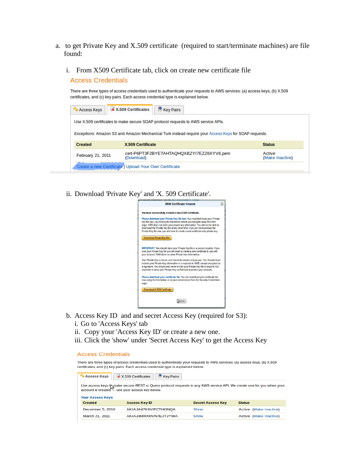- a. to get Private Key and X.509 certificate (required to start/terminate machines) are file found:
	- i. From X509 Certificate tab, click on create new certificate file

**Access Credentials** 

There are three types of access credentials used to authenticate your requests to AWS services: (a) access keys, (b) X.509 certificates, and (c) key pairs. Each access credential type is explained below.



ii. Download 'Private Key' and 'X. 509 Certificate'.



- b. Access Key ID and and secret Access Key (required for S3):
	- i. Go to 'Access Keys' tab
	- ii. Copy your 'Access Key ID' or create a new one.
	- iii. Click the 'show' under 'Secret Access Key' to get the Access Key

#### **Access Credentials**

There are three types of access credentials used to authenticate your requests to AWS services: (a) access keys, (b) X.509 certificates, and (c) key pairs. Each access credential type is explained below.

| Access Keys                                                                                                                                                                                          | <b>Key Pairs</b><br>X.509 Certificates |                          |                        |  |  |  |  |  |
|------------------------------------------------------------------------------------------------------------------------------------------------------------------------------------------------------|----------------------------------------|--------------------------|------------------------|--|--|--|--|--|
| Use access keys to make secure REST or Query protocol requests to any AWS service API. We create one for you when your<br>account is created - see your access key below.<br><b>Your Access Keys</b> |                                        |                          |                        |  |  |  |  |  |
| <b>Created</b>                                                                                                                                                                                       | <b>Access Key ID</b>                   | <b>Secret Access Key</b> | <b>Status</b>          |  |  |  |  |  |
| December 5, 2010                                                                                                                                                                                     | AKIAJA47K6VIFCTHGNOA                   | Show                     | Active (Make Inactive) |  |  |  |  |  |
| March 21, 2011                                                                                                                                                                                       | AKIAJ3MRXRVN7EJTJYWA                   | Show                     | Active (Make Inactive) |  |  |  |  |  |
|                                                                                                                                                                                                      |                                        |                          |                        |  |  |  |  |  |